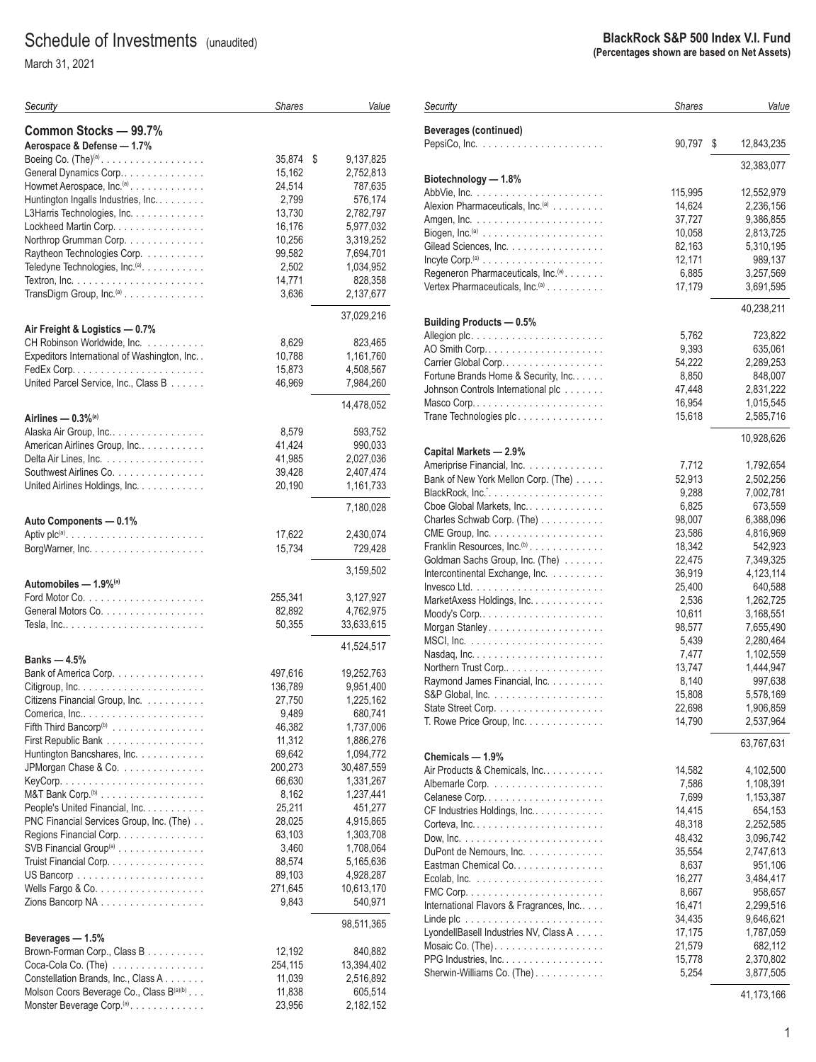# Schedule of Investments (unaudited)

March 31, 2021

| Security                                                                             | <b>Shares</b>   | Value                  |
|--------------------------------------------------------------------------------------|-----------------|------------------------|
| Common Stocks - 99.7%                                                                |                 |                        |
| Aerospace & Defense - 1.7%                                                           |                 |                        |
| Boeing Co. $(The)^{(a)}$ .                                                           | 35,874          | 9,137,825<br>\$        |
| General Dynamics Corp                                                                | 15,162          | 2,752,813              |
| Howmet Aerospace, Inc. <sup>(a)</sup> .                                              | 24,514          | 787,635                |
| Huntington Ingalls Industries, Inc.                                                  | 2,799           | 576,174                |
| L3Harris Technologies, Inc.                                                          | 13,730          | 2,782,797              |
| Lockheed Martin Corp.                                                                | 16,176          | 5,977,032              |
| Northrop Grumman Corp.                                                               | 10,256          | 3,319,252              |
| Raytheon Technologies Corp.                                                          | 99,582          | 7,694,701              |
| Teledyne Technologies, Inc. <sup>(a)</sup> .                                         | 2,502           | 1,034,952              |
|                                                                                      | 14,771          | 828,358                |
| TransDigm Group, Inc. <sup>(a)</sup>                                                 | 3,636           | 2,137,677              |
|                                                                                      |                 | 37,029,216             |
| Air Freight & Logistics - 0.7%                                                       |                 |                        |
| CH Robinson Worldwide, Inc.                                                          | 8,629<br>10,788 | 823,465                |
| Expeditors International of Washington, Inc. .                                       | 15,873          | 1,161,760<br>4,508,567 |
| United Parcel Service, Inc., Class B                                                 | 46,969          | 7,984,260              |
|                                                                                      |                 |                        |
| Airlines $-0.3\%$ <sup>(a)</sup>                                                     |                 | 14,478,052             |
| Alaska Air Group, Inc                                                                | 8,579           | 593,752                |
| American Airlines Group, Inc                                                         | 41,424          | 990,033                |
| Delta Air Lines, Inc.                                                                | 41,985          | 2,027,036              |
| Southwest Airlines Co.                                                               | 39,428          | 2,407,474              |
| United Airlines Holdings, Inc.                                                       | 20,190          | 1,161,733              |
|                                                                                      |                 | 7,180,028              |
| Auto Components - 0.1%                                                               |                 |                        |
| Aptiv plc <sup>(a)</sup> . $\ldots \ldots \ldots \ldots \ldots \ldots \ldots \ldots$ | 17,622          | 2,430,074              |
|                                                                                      | 15,734          | 729,428                |
|                                                                                      |                 | 3,159,502              |
| Automobiles - 1.9%(a)                                                                |                 |                        |
|                                                                                      | 255,341         | 3,127,927              |
| General Motors Co.                                                                   | 82,892          | 4,762,975              |
|                                                                                      | 50,355          | 33,633,615             |
|                                                                                      |                 | 41,524,517             |
| Banks — 4.5%                                                                         |                 |                        |
| Bank of America Corp.                                                                | 497,616         | 19,252,763             |
|                                                                                      | 136,789         | 9,951,400              |
| Citizens Financial Group, Inc.                                                       | 27,750<br>9,489 | 1,225,162<br>680,741   |
| Fifth Third Bancorp <sup>(b)</sup>                                                   | 46,382          | 1,737,006              |
| First Republic Bank                                                                  | 11,312          | 1,886,276              |
| Huntington Bancshares, Inc.                                                          | 69,642          | 1,094,772              |
| JPMorgan Chase & Co.                                                                 | 200,273         | 30,487,559             |
|                                                                                      | 66,630          | 1,331,267              |
|                                                                                      | 8,162           | 1,237,441              |
| People's United Financial, Inc.                                                      | 25,211          | 451,277                |
| PNC Financial Services Group, Inc. (The)                                             | 28,025          | 4,915,865              |
| Regions Financial Corp.                                                              | 63,103          | 1,303,708              |
| SVB Financial Group <sup>(a)</sup>                                                   | 3,460           | 1,708,064              |
| Truist Financial Corp.                                                               | 88,574          | 5,165,636              |
|                                                                                      | 89,103          | 4,928,287              |
|                                                                                      | 271,645         | 10,613,170             |
| Zions Bancorp NA                                                                     | 9,843           | 540,971                |
|                                                                                      |                 | 98,511,365             |
| Beverages - 1.5%<br>Brown-Forman Corp., Class B                                      | 12,192          | 840,882                |
| Coca-Cola Co. (The) $\ldots \ldots \ldots \ldots \ldots$                             | 254,115         | 13,394,402             |
| Constellation Brands, Inc., Class A                                                  | 11,039          | 2,516,892              |
| Molson Coors Beverage Co., Class B(a)(b)                                             | 11,838          | 605,514                |
| Monster Beverage Corp. <sup>(a)</sup> .                                              | 23,956          | 2,182,152              |

#### **BlackRock S&P 500 Index V.I. Fund (Percentages shown are based on Net Assets)**

| Security                                                                       | <b>Shares</b>    | Value                |
|--------------------------------------------------------------------------------|------------------|----------------------|
| <b>Beverages (continued)</b>                                                   |                  |                      |
|                                                                                | 90,797           | \$<br>12,843,235     |
| Biotechnology - 1.8%                                                           |                  | 32,383,077           |
|                                                                                | 115,995          | 12,552,979           |
| Alexion Pharmaceuticals, Inc. <sup>(a)</sup>                                   | 14,624           | 2,236,156            |
|                                                                                | 37,727           | 9,386,855            |
| Biogen, Inc. <sup>(a)</sup> $\ldots \ldots \ldots \ldots \ldots \ldots \ldots$ | 10,058           | 2,813,725            |
| Gilead Sciences, Inc.                                                          | 82,163           | 5,310,195            |
|                                                                                | 12,171           | 989,137              |
| Regeneron Pharmaceuticals, Inc. <sup>(a)</sup> .                               | 6,885            | 3,257,569            |
| Vertex Pharmaceuticals, Inc. <sup>(a)</sup>                                    | 17,179           | 3,691,595            |
| <b>Building Products - 0.5%</b>                                                |                  | 40,238,211           |
|                                                                                | 5,762            | 723,822              |
|                                                                                | 9,393            | 635,061              |
| Carrier Global Corp                                                            | 54,222           | 2,289,253            |
| Fortune Brands Home & Security, Inc.                                           | 8,850            | 848,007              |
| Johnson Controls International plc                                             | 47,448           | 2,831,222            |
|                                                                                | 16,954           | 1,015,545            |
| Trane Technologies plc.                                                        | 15,618           | 2,585,716            |
| Capital Markets - 2.9%                                                         |                  | 10,928,626           |
| Ameriprise Financial, Inc.                                                     | 7,712            | 1,792,654            |
| Bank of New York Mellon Corp. (The)                                            | 52,913           | 2,502,256            |
|                                                                                | 9,288            | 7,002,781            |
| Cboe Global Markets, Inc.                                                      | 6,825            | 673,559              |
| Charles Schwab Corp. (The)                                                     | 98,007           | 6,388,096            |
|                                                                                | 23,586           | 4,816,969            |
| Franklin Resources, Inc. <sup>(b)</sup>                                        | 18,342           | 542,923              |
| Goldman Sachs Group, Inc. (The)                                                | 22,475           | 7,349,325            |
| Intercontinental Exchange, Inc.                                                | 36,919           | 4,123,114            |
| MarketAxess Holdings, Inc.                                                     | 25,400<br>2,536  | 640,588<br>1,262,725 |
|                                                                                | 10,611           | 3,168,551            |
|                                                                                | 98,577           | 7,655,490            |
|                                                                                | 5,439            | 2,280,464            |
|                                                                                | 7,477            | 1,102,559            |
| Northern Trust Corp                                                            | 13,747           | 1,444,947            |
| Raymond James Financial, Inc.                                                  | 8,140            | 997,638              |
|                                                                                | 15,808           | 5,578,169            |
|                                                                                | 22,698           | 1,906,859            |
| T. Rowe Price Group, Inc.                                                      | 14,790           | 2,537,964            |
| Chemicals - 1.9%                                                               |                  | 63,767,631           |
| Air Products & Chemicals, Inc.                                                 | 14,582           | 4,102,500            |
|                                                                                | 7,586            | 1,108,391            |
| Celanese Corp                                                                  | 7,699            | 1,153,387            |
| CF Industries Holdings, Inc.                                                   | 14,415           | 654,153              |
|                                                                                | 48,318           | 2,252,585            |
|                                                                                | 48,432           | 3,096,742            |
| DuPont de Nemours, Inc.                                                        | 35,554           | 2,747,613            |
| Eastman Chemical Co.                                                           | 8,637            | 951,106              |
|                                                                                | 16,277           | 3,484,417            |
|                                                                                | 8,667            | 958,657              |
| International Flavors & Fragrances, Inc.                                       | 16,471           | 2,299,516            |
| LyondellBasell Industries NV, Class A                                          | 34,435<br>17,175 | 9,646,621            |
| Mosaic Co. (The).                                                              | 21,579           | 1,787,059<br>682,112 |
| PPG Industries, Inc.                                                           | 15,778           | 2,370,802            |
| Sherwin-Williams Co. (The).                                                    | 5,254            | 3,877,505            |
|                                                                                |                  |                      |

41,173,166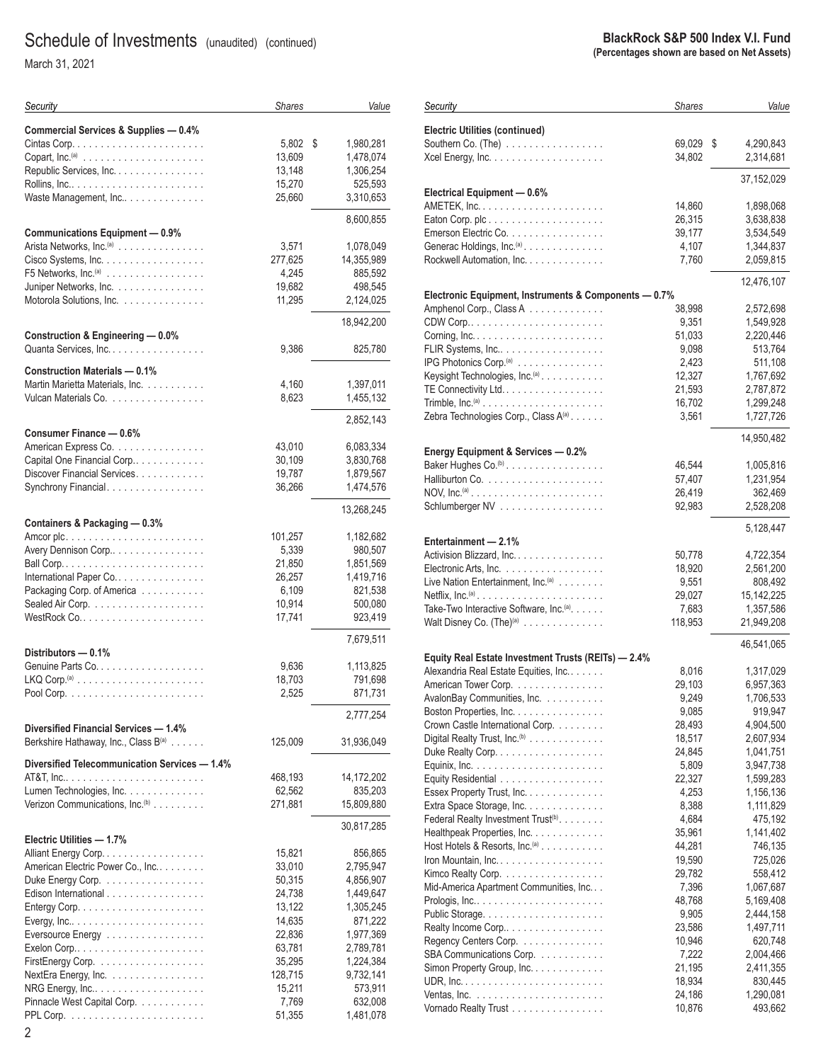March 31, 2021

| Security                                                                | <b>Shares</b> | Value           |
|-------------------------------------------------------------------------|---------------|-----------------|
| Commercial Services & Supplies - 0.4%                                   |               |                 |
|                                                                         | 5,802         | \$<br>1,980,281 |
|                                                                         | 13,609        | 1,478,074       |
| Republic Services, Inc.                                                 | 13,148        | 1,306,254       |
|                                                                         | 15,270        | 525,593         |
| Waste Management, Inc                                                   | 25,660        | 3,310,653       |
|                                                                         |               |                 |
| <b>Communications Equipment - 0.9%</b>                                  |               | 8,600,855       |
| Arista Networks, Inc. <sup>(a)</sup>                                    | 3,571         | 1,078,049       |
| Cisco Systems, Inc.                                                     | 277,625       | 14,355,989      |
| F5 Networks, $Inc^{(a)}$                                                | 4,245         | 885,592         |
| Juniper Networks, Inc.                                                  | 19,682        | 498,545         |
| Motorola Solutions, Inc.                                                | 11,295        | 2,124,025       |
|                                                                         |               | 18,942,200      |
| Construction & Engineering - 0.0%                                       |               |                 |
| Quanta Services, Inc.                                                   | 9,386         | 825,780         |
| <b>Construction Materials - 0.1%</b>                                    |               |                 |
| Martin Marietta Materials, Inc.                                         | 4,160         | 1,397,011       |
| Vulcan Materials Co.                                                    | 8,623         | 1,455,132       |
|                                                                         |               |                 |
| Consumer Finance - 0.6%                                                 |               | 2,852,143       |
| American Express Co.                                                    | 43,010        | 6,083,334       |
| Capital One Financial Corp                                              | 30,109        | 3,830,768       |
| Discover Financial Services.                                            | 19,787        | 1,879,567       |
| Synchrony Financial.                                                    | 36,266        | 1,474,576       |
|                                                                         |               |                 |
| Containers & Packaging - 0.3%                                           |               | 13,268,245      |
|                                                                         | 101,257       | 1,182,682       |
| Avery Dennison Corp                                                     | 5,339         | 980,507         |
|                                                                         | 21,850        | 1,851,569       |
| International Paper Co.                                                 | 26,257        | 1,419,716       |
| Packaging Corp. of America                                              | 6,109         | 821,538         |
|                                                                         | 10,914        | 500,080         |
|                                                                         | 17,741        | 923,419         |
|                                                                         |               | 7,679,511       |
| Distributors - 0.1%                                                     |               |                 |
|                                                                         | 9,636         | 1,113,825       |
|                                                                         | 18,703        | 791,698         |
|                                                                         | 2,525         | 871,731         |
|                                                                         |               | 2,777,254       |
| Diversified Financial Services - 1.4%                                   |               |                 |
| Berkshire Hathaway, Inc., Class B(a)                                    | 125,009       | 31,936,049      |
| Diversified Telecommunication Services - 1.4%                           |               |                 |
|                                                                         | 468,193       | 14,172,202      |
| Lumen Technologies, Inc.                                                | 62,562        | 835,203         |
| Verizon Communications, Inc. <sup>(b)</sup>                             | 271,881       | 15,809,880      |
|                                                                         |               | 30,817,285      |
| Electric Utilities - 1.7%                                               |               |                 |
| Alliant Energy Corp.                                                    | 15,821        | 856,865         |
| American Electric Power Co., Inc                                        | 33,010        | 2,795,947       |
| Duke Energy Corp.                                                       | 50,315        | 4,856,907       |
| Edison International                                                    | 24,738        | 1,449,647       |
| Entergy Corp. $\ldots \ldots \ldots \ldots \ldots \ldots \ldots \ldots$ | 13,122        | 1,305,245       |
|                                                                         | 14,635        | 871,222         |
| Eversource Energy                                                       | 22,836        | 1,977,369       |
|                                                                         | 63,781        | 2,789,781       |
| FirstEnergy Corp.                                                       | 35,295        | 1,224,384       |
| NextEra Energy, Inc.                                                    | 128,715       | 9,732,141       |
| NRG Energy, Inc                                                         | 15,211        | 573,911         |
| Pinnacle West Capital Corp.                                             | 7,769         | 632,008         |
|                                                                         | 51,355        | 1,481,078       |
| 2                                                                       |               |                 |

#### **BlackRock S&P 500 Index V.I. Fund (Percentages shown are based on Net Assets)**

| Security                                                                                     | <b>Shares</b>    | Value                  |
|----------------------------------------------------------------------------------------------|------------------|------------------------|
| <b>Electric Utilities (continued)</b>                                                        |                  |                        |
| Southern Co. $(The)$                                                                         | 69,029           | \$<br>4,290,843        |
|                                                                                              | 34,802           | 2,314,681              |
|                                                                                              |                  | 37,152,029             |
| Electrical Equipment - 0.6%                                                                  |                  |                        |
| Eaton Corp. plc                                                                              | 14,860<br>26,315 | 1,898,068              |
| Emerson Electric Co.                                                                         | 39,177           | 3,638,838<br>3,534,549 |
| Generac Holdings, Inc. <sup>(a)</sup>                                                        | 4,107            | 1,344,837              |
| Rockwell Automation, Inc.                                                                    | 7,760            | 2,059,815              |
|                                                                                              |                  | 12,476,107             |
| Electronic Equipment, Instruments & Components - 0.7%                                        |                  |                        |
| Amphenol Corp., Class A                                                                      | 38,998           | 2,572,698              |
|                                                                                              | 9,351            | 1,549,928              |
|                                                                                              | 51,033           | 2,220,446              |
| FLIR Systems, Inc                                                                            | 9,098            | 513,764                |
| IPG Photonics Corp. <sup>(a)</sup>                                                           | 2,423            | 511,108                |
| Keysight Technologies, Inc. <sup>(a)</sup>                                                   | 12,327           | 1,767,692              |
| TE Connectivity Ltd                                                                          | 21,593           | 2,787,872              |
| Trimble, $Inc^{(a)} \dots \dots \dots \dots \dots \dots \dots \dots$                         | 16,702           | 1,299,248              |
| Zebra Technologies Corp., Class A(a)                                                         | 3,561            | 1,727,726              |
|                                                                                              |                  | 14,950,482             |
| Energy Equipment & Services - 0.2%                                                           |                  |                        |
| Baker Hughes Co. <sup>(b)</sup> .                                                            | 46,544           | 1,005,816              |
|                                                                                              | 57,407           | 1,231,954              |
|                                                                                              | 26,419           | 362,469                |
| Schlumberger NV                                                                              | 92,983           | 2,528,208              |
|                                                                                              |                  | 5,128,447              |
| Entertainment - 2.1%<br>Activision Blizzard, Inc.                                            | 50,778           | 4,722,354              |
|                                                                                              |                  |                        |
| Electronic Arts, Inc.                                                                        | 18,920           | 2,561,200              |
| Live Nation Entertainment, Inc. <sup>(a)</sup>                                               | 9,551            | 808,492                |
|                                                                                              | 29,027           | 15,142,225             |
| Take-Two Interactive Software, Inc. <sup>(a)</sup> .                                         | 7,683            | 1,357,586              |
| Walt Disney Co. $(The)^{(a)}$                                                                | 118,953          | 21,949,208             |
|                                                                                              |                  | 46,541,065             |
| Equity Real Estate Investment Trusts (REITs) - 2.4%<br>Alexandria Real Estate Equities, Inc. | 8,016            | 1,317,029              |
| American Tower Corp.                                                                         | 29,103           | 6,957,363              |
| AvalonBay Communities, Inc.                                                                  | 9,249            | 1,706,533              |
| Boston Properties, Inc.                                                                      | 9,085            | 919,947                |
| Crown Castle International Corp.                                                             | 28,493           | 4,904,500              |
|                                                                                              | 18,517           | 2,607,934              |
| Digital Realty Trust, Inc. <sup>(b)</sup>                                                    | 24,845           | 1,041,751              |
| Duke Realty Corp.                                                                            | 5,809            |                        |
|                                                                                              |                  | 3,947,738              |
| Equity Residential                                                                           | 22,327           | 1,599,283              |
| Essex Property Trust, Inc.                                                                   | 4,253            | 1,156,136              |
| Extra Space Storage, Inc.                                                                    | 8,388            | 1,111,829              |
| Federal Realty Investment Trust <sup>(b)</sup> .                                             | 4,684            | 475,192                |
| Healthpeak Properties, Inc.                                                                  | 35,961           | 1,141,402              |
| Host Hotels & Resorts, Inc. <sup>(a)</sup>                                                   | 44,281           | 746,135                |
| Iron Mountain, Inc.                                                                          | 19,590           | 725,026                |
| Kimco Realty Corp.                                                                           | 29,782           | 558,412                |
| Mid-America Apartment Communities, Inc                                                       | 7,396            | 1,067,687              |
|                                                                                              | 48,768           | 5,169,408              |
|                                                                                              | 9,905            | 2,444,158              |
| Realty Income Corp                                                                           | 23,586           | 1,497,711              |
| Regency Centers Corp.                                                                        | 10,946           | 620,748                |
| SBA Communications Corp.                                                                     | 7,222            | 2,004,466              |
| Simon Property Group, Inc.                                                                   | 21,195           | 2,411,355              |
|                                                                                              | 18,934           | 830,445                |
|                                                                                              | 24,186           | 1,290,081              |
| Vornado Realty Trust                                                                         | 10,876           | 493,662                |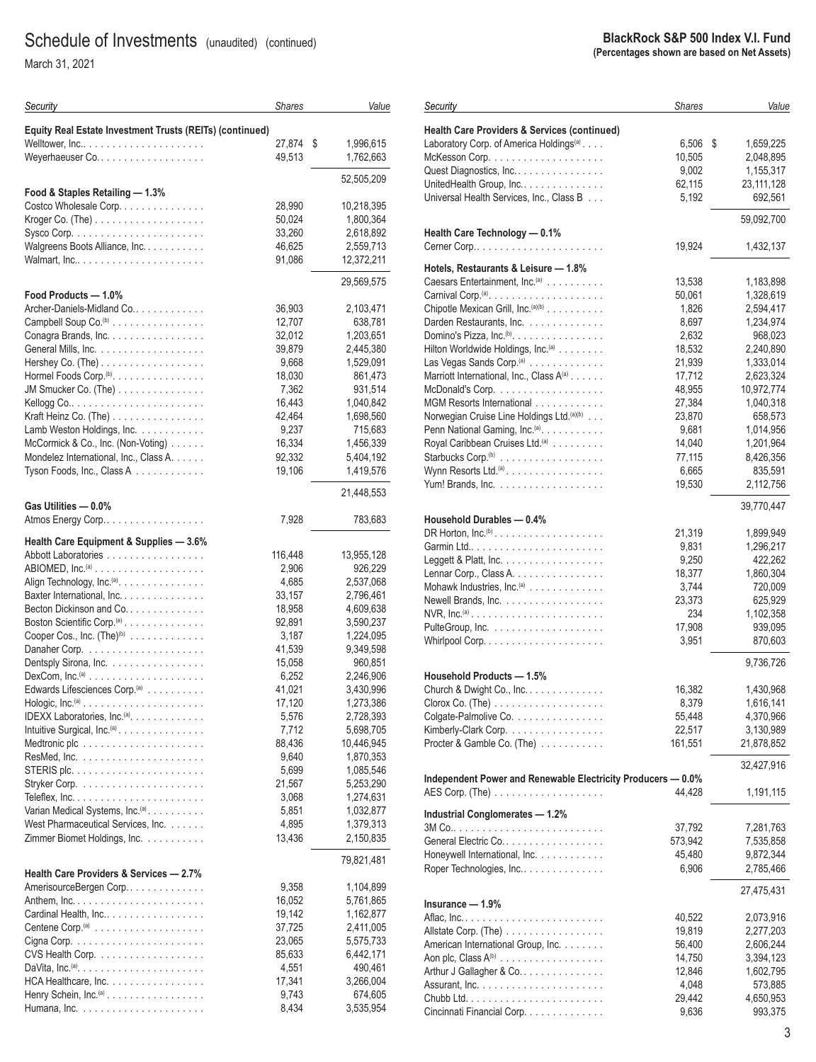March 31, 2021

| Security                                                                         | <b>Shares</b>    | Value                  |
|----------------------------------------------------------------------------------|------------------|------------------------|
| Equity Real Estate Investment Trusts (REITs) (continued)                         |                  |                        |
|                                                                                  | 27,874           | \$<br>1,996,615        |
| Weyerhaeuser Co                                                                  | 49,513           | 1,762,663              |
|                                                                                  |                  | 52,505,209             |
| Food & Staples Retailing - 1.3%                                                  |                  |                        |
| Costco Wholesale Corp.                                                           | 28,990           | 10,218,395             |
|                                                                                  | 50,024           | 1,800,364              |
| Walgreens Boots Alliance, Inc.                                                   | 33,260<br>46,625 | 2,618,892<br>2,559,713 |
|                                                                                  | 91,086           | 12,372,211             |
|                                                                                  |                  |                        |
| Food Products - 1.0%                                                             |                  | 29,569,575             |
| Archer-Daniels-Midland Co                                                        | 36,903           | 2,103,471              |
| Campbell Soup Co. <sup>(b)</sup>                                                 | 12,707           | 638,781                |
| Conagra Brands, Inc.                                                             | 32,012           | 1,203,651              |
|                                                                                  | 39,879           | 2,445,380              |
|                                                                                  | 9,668            | 1,529,091              |
| Hormel Foods Corp. <sup>(b)</sup> .<br>JM Smucker Co. (The)                      | 18,030<br>7,362  | 861,473<br>931,514     |
|                                                                                  | 16,443           | 1,040,842              |
| Kraft Heinz Co. (The) $\ldots \ldots \ldots \ldots \ldots$                       | 42,464           | 1,698,560              |
| Lamb Weston Holdings, Inc.                                                       | 9,237            | 715,683                |
| McCormick & Co., Inc. (Non-Voting)                                               | 16,334           | 1,456,339              |
| Mondelez International, Inc., Class A.                                           | 92,332           | 5,404,192              |
| Tyson Foods, Inc., Class A                                                       | 19,106           | 1,419,576              |
|                                                                                  |                  | 21,448,553             |
| Gas Utilities - 0.0%                                                             |                  |                        |
| Atmos Energy Corp                                                                | 7,928            | 783,683                |
| Health Care Equipment & Supplies - 3.6%                                          |                  |                        |
| Abbott Laboratories                                                              | 116,448          | 13,955,128             |
| ABIOMED, $Inc^{(a)} \ldots \ldots \ldots \ldots \ldots \ldots$                   | 2,906            | 926,229                |
| Align Technology, Inc. <sup>(a)</sup> .<br>Baxter International, Inc.            | 4,685<br>33,157  | 2,537,068<br>2,796,461 |
| Becton Dickinson and Co.                                                         | 18,958           | 4,609,638              |
| Boston Scientific Corp. <sup>(a)</sup>                                           | 92,891           | 3,590,237              |
| Cooper Cos., Inc. (The) <sup>(b)</sup>                                           | 3,187            | 1,224,095              |
|                                                                                  | 41,539           | 9,349,598              |
| Dentsply Sirona, Inc.                                                            | 15,058           | 960,851                |
| $DexCom, Inc.(a)$<br>Edwards Lifesciences Corp. <sup>(a)</sup>                   | 6,252<br>41,021  | 2,246,906<br>3,430,996 |
| Hologic, $Inc^{(a)} \ldots \ldots \ldots \ldots \ldots \ldots$                   | 17,120           | 1,273,386              |
| IDEXX Laboratories, Inc. <sup>(a)</sup> .                                        | 5,576            | 2,728,393              |
| Intuitive Surgical, Inc. <sup>(a)</sup> .                                        | 7,712            | 5,698,705              |
|                                                                                  | 88,436           | 10,446,945             |
|                                                                                  | 9,640            | 1,870,353              |
|                                                                                  | 5,699<br>21,567  | 1,085,546<br>5,253,290 |
|                                                                                  | 3,068            | 1,274,631              |
| Varian Medical Systems, Inc. <sup>(a)</sup> .                                    | 5,851            | 1,032,877              |
| West Pharmaceutical Services, Inc.                                               | 4,895            | 1,379,313              |
| Zimmer Biomet Holdings, Inc.                                                     | 13,436           | 2,150,835              |
|                                                                                  |                  | 79,821,481             |
| Health Care Providers & Services - 2.7%                                          |                  |                        |
| AmerisourceBergen Corp                                                           | 9,358            | 1,104,899              |
|                                                                                  | 16,052           | 5,761,865              |
| Cardinal Health, Inc                                                             | 19,142<br>37,725 | 1,162,877<br>2,411,005 |
|                                                                                  | 23,065           | 5,575,733              |
| CVS Health Corp.                                                                 | 85,633           | 6,442,171              |
| DaVita, Inc. <sup>(a)</sup> . $\ldots \ldots \ldots \ldots \ldots \ldots \ldots$ | 4,551            | 490,461                |
| HCA Healthcare, Inc.                                                             | 17,341           | 3,266,004              |
| Henry Schein, Inc. <sup>(a)</sup>                                                | 9,743            | 674,605                |
|                                                                                  | 8,434            | 3,535,954              |

| Security                                                                           | <b>Shares</b> | Value           |
|------------------------------------------------------------------------------------|---------------|-----------------|
| Health Care Providers & Services (continued)                                       |               |                 |
| Laboratory Corp. of America Holdings <sup>(a)</sup>                                | 6,506         | \$<br>1,659,225 |
|                                                                                    | 10,505        | 2,048,895       |
| Quest Diagnostics, Inc                                                             | 9,002         | 1,155,317       |
| UnitedHealth Group, Inc                                                            | 62,115        | 23, 111, 128    |
| Universal Health Services, Inc., Class B                                           | 5,192         | 692,561         |
|                                                                                    |               |                 |
| Health Care Technology - 0.1%                                                      |               | 59,092,700      |
| Cerner Corp                                                                        | 19,924        | 1,432,137       |
|                                                                                    |               |                 |
| Hotels, Restaurants & Leisure - 1.8%<br>Caesars Entertainment, Inc. <sup>(a)</sup> |               |                 |
|                                                                                    | 13,538        | 1,183,898       |
|                                                                                    | 50,061        | 1,328,619       |
| Chipotle Mexican Grill, Inc. (a)(b)                                                | 1,826         | 2,594,417       |
| Darden Restaurants, Inc.                                                           | 8,697         | 1,234,974       |
| Domino's Pizza, Inc. <sup>(b)</sup> . $\ldots$ .                                   | 2,632         | 968,023         |
| Hilton Worldwide Holdings, Inc. <sup>(a)</sup>                                     | 18,532        | 2,240,890       |
| Las Vegas Sands Corp. <sup>(a)</sup>                                               | 21,939        | 1,333,014       |
| Marriott International, Inc., Class A(a)                                           | 17,712        | 2,623,324       |
| McDonald's Corp.                                                                   | 48,955        | 10,972,774      |
| MGM Resorts International                                                          | 27,384        | 1,040,318       |
| Norwegian Cruise Line Holdings Ltd. (a)(b)                                         | 23,870        | 658,573         |
| Penn National Gaming, Inc. <sup>(a)</sup> .                                        | 9,681         | 1,014,956       |
| Royal Caribbean Cruises Ltd. <sup>(a)</sup>                                        | 14,040        | 1,201,964       |
| Starbucks Corp. <sup>(b)</sup>                                                     | 77,115        | 8,426,356       |
| Wynn Resorts Ltd. <sup>(a)</sup> .                                                 | 6,665         | 835,591         |
| Yum! Brands, Inc. $\dots \dots \dots \dots \dots \dots$                            | 19,530        | 2,112,756       |
|                                                                                    |               | 39,770,447      |
| Household Durables - 0.4%                                                          |               |                 |
| DR Horton, $Inc^{(b)} \dots \dots \dots \dots \dots \dots \dots$                   | 21,319        | 1,899,949       |
|                                                                                    | 9,831         | 1,296,217       |
| Leggett & Platt, Inc. $\ldots \ldots \ldots \ldots \ldots$                         | 9,250         | 422,262         |
| Lennar Corp., Class A.                                                             | 18,377        | 1,860,304       |
| Mohawk Industries, Inc. <sup>(a)</sup>                                             | 3,744         | 720,009         |
| Newell Brands, Inc.                                                                | 23,373        | 625,929         |
|                                                                                    | 234           | 1,102,358       |
|                                                                                    |               |                 |
|                                                                                    | 17,908        | 939,095         |
|                                                                                    | 3,951         | 870,603         |
|                                                                                    |               | 9,736,726       |
| <b>Household Products - 1.5%</b>                                                   |               |                 |
| Church & Dwight Co., Inc.                                                          | 16,382        | 1,430,968       |
| $Clorox$ $Co.$ (The) $\ldots \ldots \ldots \ldots \ldots$                          | 8,379         | 1,616,141       |
| Colgate-Palmolive Co.                                                              | 55,448        | 4,370,966       |
| Kimberly-Clark Corp.                                                               | 22,517        | 3,130,989       |
| Procter & Gamble Co. (The)                                                         | 161,551       | 21,878,852      |
|                                                                                    |               | 32,427,916      |
| Independent Power and Renewable Electricity Producers - 0.0%                       |               |                 |
|                                                                                    | 44,428        | 1,191,115       |
| Industrial Conglomerates - 1.2%                                                    |               |                 |
|                                                                                    | 37,792        | 7,281,763       |
| General Electric Co.                                                               | 573,942       | 7,535,858       |
| Honeywell International, Inc.                                                      | 45,480        | 9,872,344       |
| Roper Technologies, Inc                                                            | 6,906         | 2,785,466       |
|                                                                                    |               |                 |
| Insurance — 1.9%                                                                   |               | 27,475,431      |
|                                                                                    | 40,522        | 2,073,916       |
| Allstate Corp. (The)                                                               | 19,819        | 2,277,203       |
| American International Group, Inc.                                                 | 56,400        | 2,606,244       |
|                                                                                    | 14,750        | 3,394,123       |
| Arthur J Gallagher & Co.                                                           | 12,846        | 1,602,795       |
|                                                                                    | 4,048         | 573,885         |
|                                                                                    | 29,442        | 4,650,953       |
| Cincinnati Financial Corp.                                                         | 9,636         | 993,375         |
|                                                                                    |               |                 |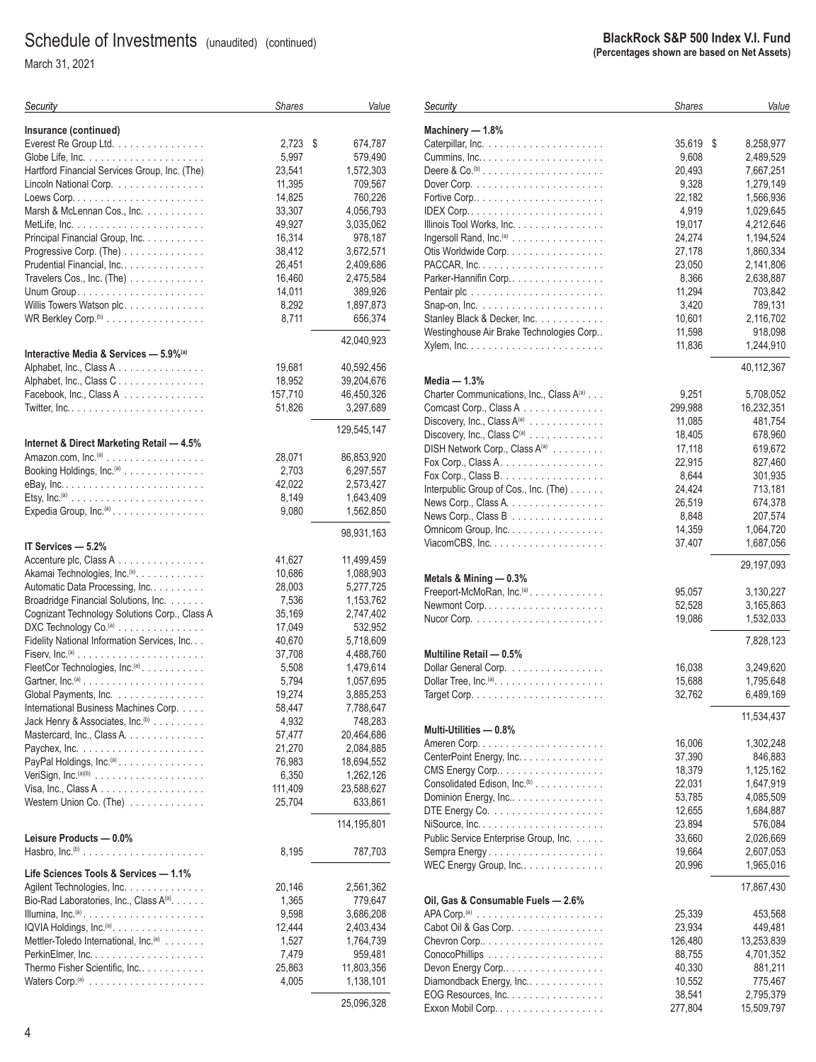March 31, 2021

| Security                                                             | <b>Shares</b> | Value         |
|----------------------------------------------------------------------|---------------|---------------|
| Insurance (continued)                                                |               |               |
| Everest Re Group Ltd.                                                | 2,723         | \$<br>674,787 |
|                                                                      | 5,997         | 579,490       |
| Hartford Financial Services Group, Inc. (The)                        | 23,541        | 1,572,303     |
| Lincoln National Corp.                                               | 11,395        | 709,567       |
|                                                                      | 14,825        | 760,226       |
| Marsh & McLennan Cos., Inc.                                          | 33,307        | 4,056,793     |
|                                                                      | 49,927        | 3,035,062     |
| Principal Financial Group, Inc.                                      | 16,314        | 978,187       |
| Progressive Corp. (The)                                              | 38,412        | 3,672,571     |
| Prudential Financial, Inc                                            | 26,451        | 2,409,686     |
| Travelers Cos., Inc. (The)                                           | 16,460        | 2,475,584     |
|                                                                      | 14,011        | 389,926       |
| Willis Towers Watson plc.                                            | 8,292         | 1,897,873     |
| WR Berkley Corp. <sup>(b)</sup>                                      | 8,711         | 656,374       |
| Interactive Media & Services — 5.9%(a)                               |               | 42,040,923    |
| Alphabet, Inc., Class A                                              | 19,681        | 40,592,456    |
| Alphabet, Inc., Class C.                                             | 18,952        | 39,204,676    |
| Facebook, Inc., Class A                                              | 157,710       | 46,450,326    |
|                                                                      | 51,826        | 3,297,689     |
|                                                                      |               | 129,545,147   |
| Internet & Direct Marketing Retail - 4.5%                            |               |               |
| Amazon.com, Inc. <sup>(a)</sup>                                      | 28,071        | 86,853,920    |
| Booking Holdings, Inc. <sup>(a)</sup>                                | 2,703         | 6,297,557     |
|                                                                      | 42,022        | 2,573,427     |
|                                                                      | 8,149         | 1,643,409     |
| Expedia Group, Inc. <sup>(a)</sup>                                   | 9,080         | 1,562,850     |
| IT Services - 5.2%                                                   |               | 98,931,163    |
| Accenture plc, Class A                                               | 41,627        | 11,499,459    |
| Akamai Technologies, Inc. <sup>(a)</sup> .                           | 10,686        | 1,088,903     |
| Automatic Data Processing, Inc                                       | 28,003        | 5,277,725     |
| Broadridge Financial Solutions, Inc.                                 | 7,536         | 1,153,762     |
| Cognizant Technology Solutions Corp., Class A                        | 35,169        | 2,747,402     |
| DXC Technology Co. <sup>(a)</sup>                                    | 17,049        | 532,952       |
| Fidelity National Information Services, Inc.                         | 40,670        | 5,718,609     |
| Fiserv, $Inc^{(a)}$                                                  | 37,708        | 4,488,760     |
| FleetCor Technologies, Inc. <sup>(a)</sup>                           | 5,508         | 1,479,614     |
| Gartner, $Inc^{(a)} \dots \dots \dots \dots \dots \dots \dots \dots$ | 5,794         | 1,057,695     |
| Global Payments, Inc.                                                | 19,274        | 3,885,253     |
| International Business Machines Corp.                                | 58,447        | 7,788,647     |
| Jack Henry & Associates, Inc. <sup>(b)</sup>                         | 4,932         | 748,283       |
| Mastercard, Inc., Class A.                                           | 57,477        | 20,464,686    |
|                                                                      | 21,270        | 2,084,885     |
| PayPal Holdings, Inc. <sup>(a)</sup> .                               | 76,983        | 18,694,552    |
|                                                                      | 6,350         | 1,262,126     |
|                                                                      | 111,409       | 23,588,627    |
| Western Union Co. (The)                                              | 25,704        | 633,861       |
| Leisure Products - 0.0%                                              |               | 114,195,801   |
|                                                                      | 8,195         | 787,703       |
| Life Sciences Tools & Services - 1.1%                                |               |               |
| Agilent Technologies, Inc.                                           | 20,146        | 2,561,362     |
| Bio-Rad Laboratories, Inc., Class A(a).                              | 1,365         | 779,647       |
| Illumina, Inc. <sup>(a)</sup>                                        | 9,598         | 3,686,208     |
| IQVIA Holdings, Inc. <sup>(a)</sup> .                                | 12,444        | 2,403,434     |
| Mettler-Toledo International, Inc. <sup>(a)</sup>                    | 1,527         | 1,764,739     |
|                                                                      | 7,479         | 959,481       |
| Thermo Fisher Scientific, Inc.                                       | 25,863        | 11,803,356    |
|                                                                      | 4,005         | 1,138,101     |
|                                                                      |               | 25,096,328    |
|                                                                      |               |               |

| Security                                                              | <b>Shares</b> | Value           |
|-----------------------------------------------------------------------|---------------|-----------------|
| Machinery - 1.8%                                                      |               |                 |
|                                                                       | 35,619        | \$<br>8,258,977 |
|                                                                       | 9,608         | 2,489,529       |
| Deere & Co. <sup><math>(b)</math></sup>                               | 20,493        | 7,667,251       |
| Dover Corp. $\ldots \ldots \ldots \ldots \ldots \ldots \ldots \ldots$ | 9,328         | 1,279,149       |
|                                                                       | 22,182        | 1,566,936       |
|                                                                       | 4,919         | 1,029,645       |
| Illinois Tool Works, Inc.                                             | 19,017        | 4,212,646       |
| Ingersoll Rand, $Inc^{(a)} \ldots \ldots \ldots \ldots \ldots$        | 24,274        | 1,194,524       |
| Otis Worldwide Corp.                                                  | 27,178        | 1,860,334       |
|                                                                       | 23,050        | 2,141,806       |
|                                                                       | 8,366         | 2,638,887       |
| Parker-Hannifin Corp                                                  |               |                 |
|                                                                       | 11,294        | 703,842         |
|                                                                       | 3,420         | 789,131         |
| Stanley Black & Decker, Inc.                                          | 10,601        | 2,116,702       |
| Westinghouse Air Brake Technologies Corp                              | 11,598        | 918,098         |
|                                                                       | 11,836        | 1,244,910       |
|                                                                       |               | 40,112,367      |
| Media $-1.3%$<br>Charter Communications, Inc., Class A(a)             | 9,251         | 5,708,052       |
|                                                                       |               | 16,232,351      |
| Comcast Corp., Class A                                                | 299,988       |                 |
| Discovery, Inc., Class A(a)                                           | 11,085        | 481,754         |
| Discovery, Inc., Class C <sup>(a)</sup>                               | 18,405        | 678,960         |
| DISH Network Corp., Class A(a)                                        | 17,118        | 619,672         |
| Fox Corp., Class A.                                                   | 22,915        | 827,460         |
| Fox Corp., Class B.                                                   | 8,644         | 301,935         |
| Interpublic Group of Cos., Inc. (The)                                 | 24,424        | 713,181         |
| News Corp., Class A.                                                  | 26,519        | 674,378         |
| News Corp., Class B                                                   | 8,848         | 207,574         |
| Omnicom Group, Inc.                                                   | 14,359        | 1,064,720       |
| ViacomCBS, $Inc. \ldots. \ldots. \ldots. \ldots. \ldots.$             | 37,407        | 1,687,056       |
|                                                                       |               | 29,197,093      |
| Metals & Mining - 0.3%                                                |               |                 |
| Freeport-McMoRan, Inc. <sup>(a)</sup>                                 | 95,057        | 3,130,227       |
|                                                                       | 52,528        | 3,165,863       |
|                                                                       | 19,086        | 1,532,033       |
|                                                                       |               | 7,828,123       |
| Multiline Retail - 0.5%                                               |               |                 |
| Dollar General Corp.                                                  | 16,038        | 3,249,620       |
| Dollar Tree, $Inc^{(a)} \dots \dots \dots \dots \dots \dots \dots$    | 15,688        | 1,795,648       |
|                                                                       | 32,762        | 6,489,169       |
|                                                                       |               | 11,534,437      |
| Multi-Utilities - 0.8%                                                |               |                 |
|                                                                       | 16,006        | 1,302,248       |
| CenterPoint Energy, Inc.                                              | 37,390        | 846,883         |
| CMS Energy Corp                                                       | 18,379        | 1,125,162       |
| Consolidated Edison, Inc. <sup>(b)</sup>                              | 22,031        | 1,647,919       |
| Dominion Energy, Inc                                                  | 53,785        | 4,085,509       |
| DTE Energy Co. $\ldots \ldots \ldots \ldots \ldots \ldots$            | 12,655        |                 |
|                                                                       |               | 1,684,887       |
|                                                                       | 23,894        | 576,084         |
| Public Service Enterprise Group, Inc.                                 | 33,660        | 2,026,669       |
| Sempra Energy                                                         | 19,664        | 2,607,053       |
| WEC Energy Group, $Inc \ldots  \ldots $                               | 20,996        | 1,965,016       |
|                                                                       |               | 17,867,430      |
| Oil, Gas & Consumable Fuels - 2.6%                                    | 25,339        | 453,568         |
|                                                                       |               |                 |
| Cabot Oil & Gas Corp.                                                 | 23,934        | 449,481         |
|                                                                       | 126,480       | 13,253,839      |
|                                                                       | 88,755        | 4,701,352       |
| Devon Energy Corp                                                     | 40,330        | 881,211         |
| Diamondback Energy, Inc                                               | 10,552        | 775,467         |
| EOG Resources, Inc.                                                   | 38,541        | 2,795,379       |
| Exxon Mobil Corp.                                                     | 277,804       | 15,509,797      |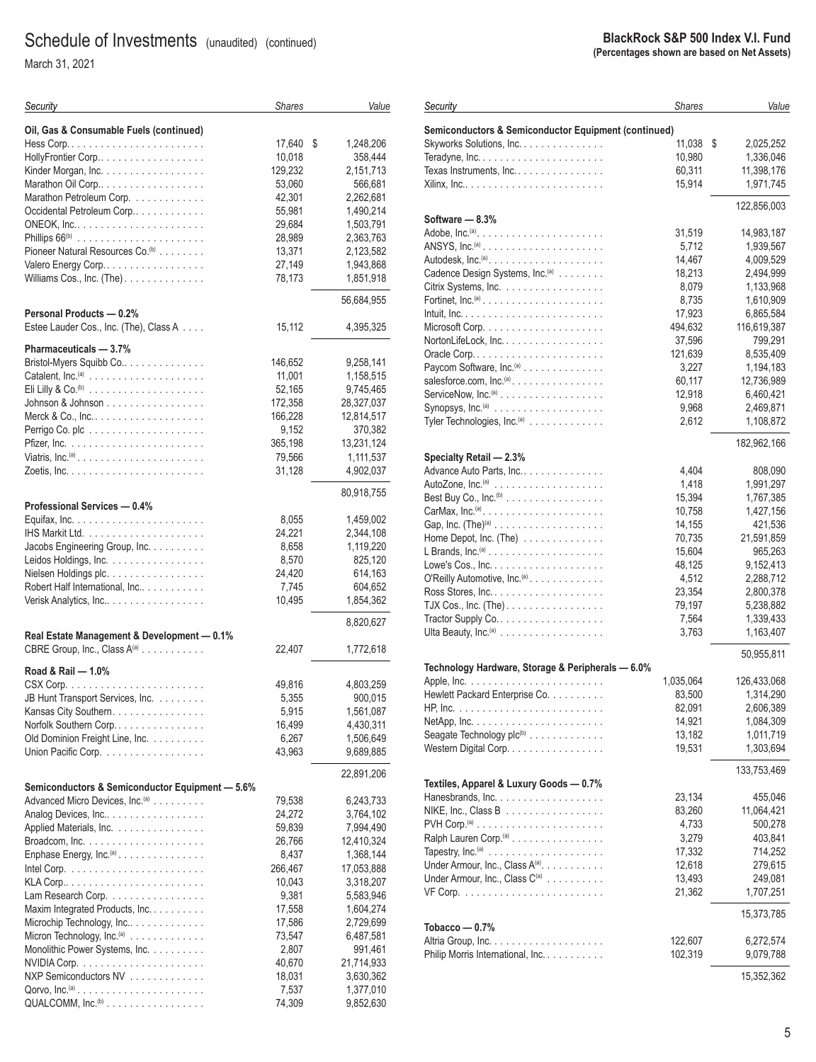March 31, 2021

| Security                                                             | <b>Shares</b> | Value           |
|----------------------------------------------------------------------|---------------|-----------------|
| Oil, Gas & Consumable Fuels (continued)                              |               |                 |
|                                                                      | 17,640        | \$<br>1,248,206 |
| HollyFrontier Corp                                                   | 10,018        | 358,444         |
| Kinder Morgan, Inc.                                                  | 129,232       | 2,151,713       |
| Marathon Oil Corp                                                    | 53,060        | 566,681         |
| Marathon Petroleum Corp.                                             | 42,301        | 2,262,681       |
| Occidental Petroleum Corp                                            | 55,981        | 1,490,214       |
|                                                                      | 29,684        | 1,503,791       |
|                                                                      | 28,989        | 2,363,763       |
| Pioneer Natural Resources Co. <sup>(b)</sup>                         | 13,371        | 2,123,582       |
| Valero Energy Corp                                                   | 27,149        | 1,943,868       |
| Williams Cos., Inc. (The)                                            | 78,173        | 1,851,918       |
| Personal Products - 0.2%                                             |               | 56,684,955      |
| Estee Lauder Cos., Inc. (The), Class A                               | 15,112        | 4,395,325       |
| Pharmaceuticals - 3.7%                                               |               |                 |
| Bristol-Myers Squibb Co                                              | 146,652       | 9,258,141       |
|                                                                      | 11,001        | 1,158,515       |
|                                                                      | 52,165        | 9,745,465       |
| Johnson & Johnson $\dots \dots \dots \dots \dots \dots$              | 172,358       | 28,327,037      |
|                                                                      | 166,228       | 12,814,517      |
|                                                                      | 9,152         | 370,382         |
|                                                                      | 365,198       | 13,231,124      |
| Viatris, $Inc^{(a)} \dots \dots \dots \dots \dots \dots \dots \dots$ | 79,566        | 1,111,537       |
|                                                                      | 31,128        | 4,902,037       |
| Professional Services - 0.4%                                         |               | 80,918,755      |
|                                                                      | 8,055         | 1,459,002       |
|                                                                      | 24,221        | 2,344,108       |
| Jacobs Engineering Group, Inc.                                       | 8,658         | 1,119,220       |
| Leidos Holdings, Inc.                                                | 8,570         | 825,120         |
| Nielsen Holdings plc.                                                | 24,420        | 614,163         |
| Robert Half International, Inc                                       | 7,745         | 604,652         |
| Verisk Analytics, Inc                                                | 10,495        | 1,854,362       |
|                                                                      |               | 8,820,627       |
| Real Estate Management & Development - 0.1%                          |               |                 |
| CBRE Group, Inc., Class A(a)                                         | 22,407        | 1,772,618       |
| Road & Rail - 1.0%                                                   |               |                 |
|                                                                      | 49,816        | 4,803,259       |
| JB Hunt Transport Services, Inc.                                     | 5,355         | 900,015         |
| Kansas City Southern.                                                | 5,915         | 1,561,087       |
| Norfolk Southern Corp                                                | 16,499        | 4,430,311       |
| Old Dominion Freight Line, Inc.                                      | 6,267         | 1,506,649       |
| Union Pacific Corp.                                                  | 43,963        | 9,689,885       |
| Semiconductors & Semiconductor Equipment - 5.6%                      |               | 22,891,206      |
| Advanced Micro Devices, Inc. <sup>(a)</sup>                          | 79,538        | 6,243,733       |
| Analog Devices, Inc                                                  | 24,272        | 3,764,102       |
| Applied Materials, Inc.                                              | 59,839        | 7,994,490       |
|                                                                      | 26,766        | 12,410,324      |
| Enphase Energy, Inc. <sup>(a)</sup>                                  | 8,437         | 1,368,144       |
|                                                                      | 266,467       | 17,053,888      |
|                                                                      | 10,043        | 3,318,207       |
| Lam Research Corp.                                                   | 9,381         | 5,583,946       |
| Maxim Integrated Products, Inc.                                      | 17,558        | 1,604,274       |
| Microchip Technology, Inc                                            | 17,586        | 2,729,699       |
| Micron Technology, Inc. <sup>(a)</sup>                               | 73,547        | 6,487,581       |
| Monolithic Power Systems, Inc.                                       | 2,807         | 991,461         |
|                                                                      | 40,670        | 21,714,933      |
| NXP Semiconductors NV                                                | 18,031        | 3,630,362       |
|                                                                      | 7,537         | 1,377,010       |
| QUALCOMM, Inc. <sup>(b)</sup>                                        | 74,309        | 9,852,630       |

#### **BlackRock S&P 500 Index V.I. Fund (Percentages shown are based on Net Assets)**

| Security                                                                         | <b>Shares</b> | Value           |
|----------------------------------------------------------------------------------|---------------|-----------------|
| Semiconductors & Semiconductor Equipment (continued)                             |               |                 |
| Skyworks Solutions, Inc.                                                         | 11,038        | \$<br>2,025,252 |
| Teradyne, Inc                                                                    | 10,980        | 1,336,046       |
| Texas Instruments, Inc                                                           | 60,311        | 11,398,176      |
|                                                                                  | 15,914        | 1,971,745       |
|                                                                                  |               | 122,856,003     |
| Software — 8.3%                                                                  |               |                 |
|                                                                                  | 31,519        | 14,983,187      |
|                                                                                  | 5,712         | 1,939,567       |
|                                                                                  | 14,467        | 4,009,529       |
| Cadence Design Systems, Inc. <sup>(a)</sup>                                      | 18,213        | 2,494,999       |
| Citrix Systems, Inc.                                                             | 8,079         | 1,133,968       |
| Fortinet, $\mathsf{Inc}.^{(\mathsf{a})}\dots\dots\dots\dots\dots\dots\dots\dots$ | 8,735         | 1,610,909       |
|                                                                                  | 17,923        | 6,865,584       |
|                                                                                  | 494,632       | 116,619,387     |
| NortonLifeLock, Inc.                                                             | 37,596        | 799,291         |
|                                                                                  | 121,639       | 8,535,409       |
| Paycom Software, Inc. <sup>(a)</sup>                                             | 3,227         | 1,194,183       |
| salesforce.com, $Inc^{(a)} \dots \dots \dots \dots \dots \dots$                  | 60,117        | 12,736,989      |
| $ServerNow, Inc.^{(a)} \ldots \ldots \ldots \ldots \ldots \ldots$                | 12,918        | 6,460,421       |
| Synopsys, $Inc^{(a)} \dots \dots \dots \dots \dots \dots \dots$                  | 9,968         | 2,469,871       |
| Tyler Technologies, Inc. <sup>(a)</sup>                                          | 2,612         | 1,108,872       |
|                                                                                  |               | 182,962,166     |
| Specialty Retail - 2.3%                                                          |               |                 |
| Advance Auto Parts, Inc                                                          | 4,404         | 808,090         |
|                                                                                  | 1,418         | 1,991,297       |
| Best Buy Co., Inc. ${}^{\textrm{\tiny{(b)}}}\dots\dots\dots\dots\dots\dots\dots$ | 15,394        | 1,767,385       |
|                                                                                  | 10,758        | 1,427,156       |
|                                                                                  | 14,155        | 421,536         |
| Home Depot, Inc. $(The)$                                                         | 70,735        | 21,591,859      |
| L Brands, $Inc^{(a)} \dots \dots \dots \dots \dots \dots \dots$                  | 15,604        | 965,263         |
|                                                                                  | 48,125        | 9,152,413       |
| O'Reilly Automotive, Inc. <sup>(a)</sup>                                         | 4,512         | 2,288,712       |
|                                                                                  | 23,354        | 2,800,378       |
| TJX Cos., Inc. (The).                                                            | 79,197        | 5,238,882       |
|                                                                                  | 7,564         | 1,339,433       |
| Ulta Beauty, Inc. $(a)$                                                          | 3,763         | 1,163,407       |
| Technology Hardware, Storage & Peripherals - 6.0%                                |               | 50,955,811      |
|                                                                                  | 1,035,064     | 126,433,068     |
| Hewlett Packard Enterprise Co.                                                   | 83,500        | 1,314,290       |
|                                                                                  | 82,091        | 2,606,389       |
|                                                                                  | 14,921        | 1,084,309       |
| Seagate Technology plc <sup>(b)</sup>                                            | 13,182        | 1,011,719       |
| Western Digital Corp.                                                            | 19,531        | 1,303,694       |
|                                                                                  |               | 133,753,469     |
| Textiles, Apparel & Luxury Goods — 0.7%                                          |               |                 |
|                                                                                  | 23,134        | 455,046         |
| NIKE, Inc., Class B $\ldots \ldots \ldots \ldots \ldots$                         | 83,260        | 11,064,421      |
|                                                                                  | 4,733         | 500,278         |
| Ralph Lauren Corp. <sup>(a)</sup>                                                | 3,279         | 403,841         |
| Tapestry, $Inc^{(a)} \dots \dots \dots \dots \dots \dots \dots$                  | 17,332        | 714,252         |
| Under Armour, Inc., Class A <sup>(a)</sup> .                                     | 12,618        | 279,615         |
| Under Armour, Inc., Class C <sup>(a)</sup>                                       | 13,493        | 249,081         |
|                                                                                  | 21,362        | 1,707,251       |
| Tobacco — 0.7%                                                                   |               | 15,373,785      |
|                                                                                  | 122,607       | 6,272,574       |
| Philip Morris International, Inc.                                                | 102,319       | 9,079,788       |
|                                                                                  |               |                 |
|                                                                                  |               | 15,352,362      |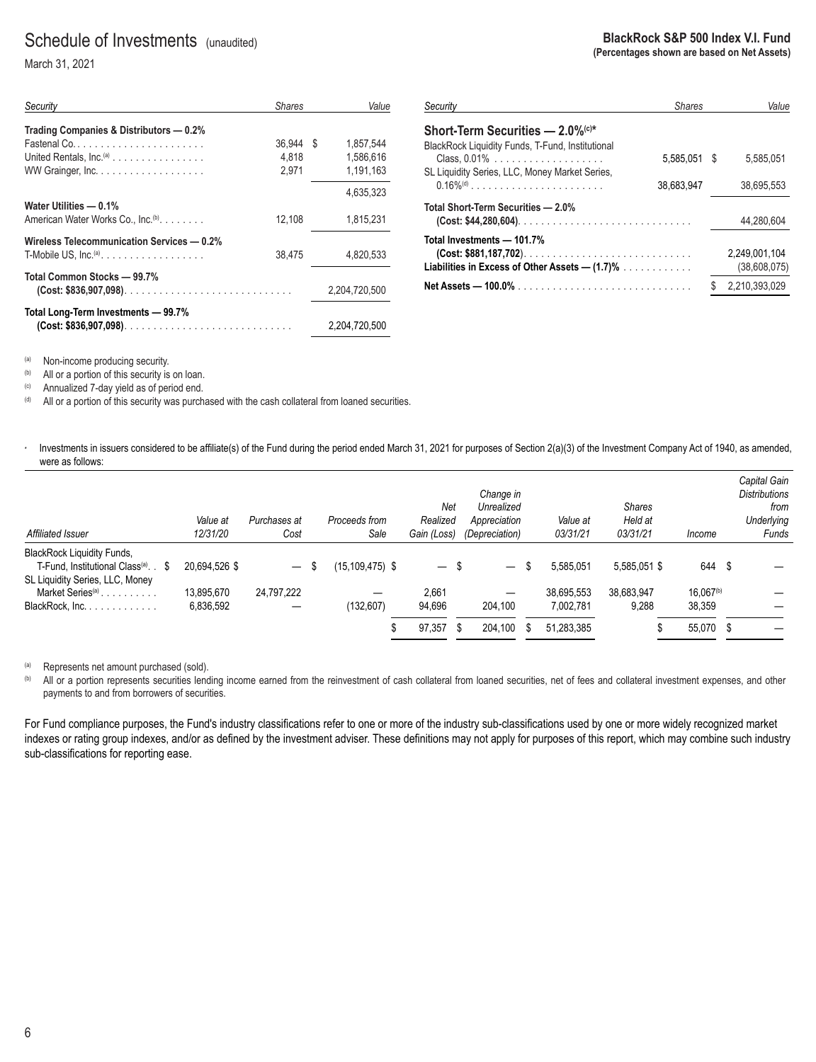### Schedule of Investments (unaudited)

March 31, 2021

| Security                                        | <b>Shares</b> | Value           |
|-------------------------------------------------|---------------|-----------------|
| Trading Companies & Distributors - 0.2%         |               |                 |
| $Fastenal Co.$                                  | 36.944        | 1.857.544<br>-S |
| United Rentals, $Inc(a)$                        | 4.818         | 1,586,616       |
|                                                 | 2,971         | 1,191,163       |
|                                                 |               | 4.635.323       |
| Water Utilities - 0.1%                          |               |                 |
| American Water Works Co., Inc. <sup>(b)</sup> . | 12.108        | 1,815,231       |
| Wireless Telecommunication Services - 0.2%      |               |                 |
| $T$ -Mobile US, Inc. <sup>(a)</sup>             | 38.475        | 4.820.533       |
| Total Common Stocks - 99.7%                     |               |                 |
| $(Cost: $836,907,098)$                          |               | 2.204.720.500   |
| Total Long-Term Investments - 99.7%             |               |                 |
|                                                 |               | 2.204.720.500   |

| Security                                                                                                                 | <b>Shares</b> | Value                         |
|--------------------------------------------------------------------------------------------------------------------------|---------------|-------------------------------|
| Short-Term Securities — 2.0% <sup>(c)*</sup>                                                                             |               |                               |
| BlackRock Liquidity Funds, T-Fund, Institutional                                                                         | 5.585.051 \$  | 5.585.051                     |
| SL Liquidity Series, LLC, Money Market Series,                                                                           | 38.683.947    | 38.695.553                    |
| Total Short-Term Securities — 2.0%                                                                                       |               | 44.280.604                    |
| Total Investments — 101.7%<br>$(Cost: $881,187,702)$<br>Liabilities in Excess of Other Assets — (1.7)% $\dots\dots\dots$ |               | 2.249.001.104<br>(38,608,075) |
|                                                                                                                          |               | 2.210.393.029                 |

(a) Non-income producing security.<br>(b) All or a portion of this security is

(b) All or a portion of this security is on loan.<br>
(c) Annualized 7-day yield as of period end.<br>
(d) All or a portion of this security was purch-

All or a portion of this security was purchased with the cash collateral from loaned securities.

· Investments in issuers considered to be affiliate(s) of the Fund during the period ended March 31, 2021 for purposes of Section 2(a)(3) of the Investment Company Act of 1940, as amended, were as follows:

| Affiliated Issuer                               | Value at<br>12/31/20 | Purchases at<br>Cost     | Proceeds from<br>Sale | Net<br>Realized<br>Gain (Loss) | Change in<br>Unrealized<br>Appreciation<br>(Depreciation) |     | Value at<br>03/31/21 | <b>Shares</b><br>Held at<br>03/31/21 | Income                | Capital Gain<br><b>Distributions</b><br>from<br>Underlying<br>Funds |
|-------------------------------------------------|----------------------|--------------------------|-----------------------|--------------------------------|-----------------------------------------------------------|-----|----------------------|--------------------------------------|-----------------------|---------------------------------------------------------------------|
| <b>BlackRock Liquidity Funds,</b>               |                      |                          |                       |                                |                                                           |     |                      |                                      |                       |                                                                     |
| T-Fund, Institutional Class <sup>(a)</sup> . \$ | 20.694.526 \$        | $\overline{\phantom{m}}$ | (15,109,475) \$       | $-$ \$                         | $\qquad \qquad -$                                         | S   | 5,585,051            | 5,585,051 \$                         | 644 \$                |                                                                     |
| SL Liquidity Series, LLC, Money                 |                      |                          |                       |                                |                                                           |     |                      |                                      |                       |                                                                     |
| Market Series <sup>(a)</sup>                    | 13.895.670           | 24.797.222               |                       | 2.661                          | —                                                         |     | 38.695.553           | 38.683.947                           | 16.067 <sup>(b)</sup> |                                                                     |
| BlackRock, Inc.                                 | 6,836,592            |                          | (132, 607)            | 94.696                         | 204.100                                                   |     | 7.002.781            | 9,288                                | 38.359                |                                                                     |
|                                                 |                      |                          |                       | 97,357<br>S                    | 204.100                                                   | \$. | 51.283.385           |                                      | 55,070 \$             |                                                                     |

(a) Represents net amount purchased (sold).<br>
(b) All or a portion represents securities lend

All or a portion represents securities lending income earned from the reinvestment of cash collateral from loaned securities, net of fees and collateral investment expenses, and other payments to and from borrowers of securities.

For Fund compliance purposes, the Fund's industry classifications refer to one or more of the industry sub-classifications used by one or more widely recognized market indexes or rating group indexes, and/or as defined by the investment adviser. These definitions may not apply for purposes of this report, which may combine such industry sub-classifications for reporting ease.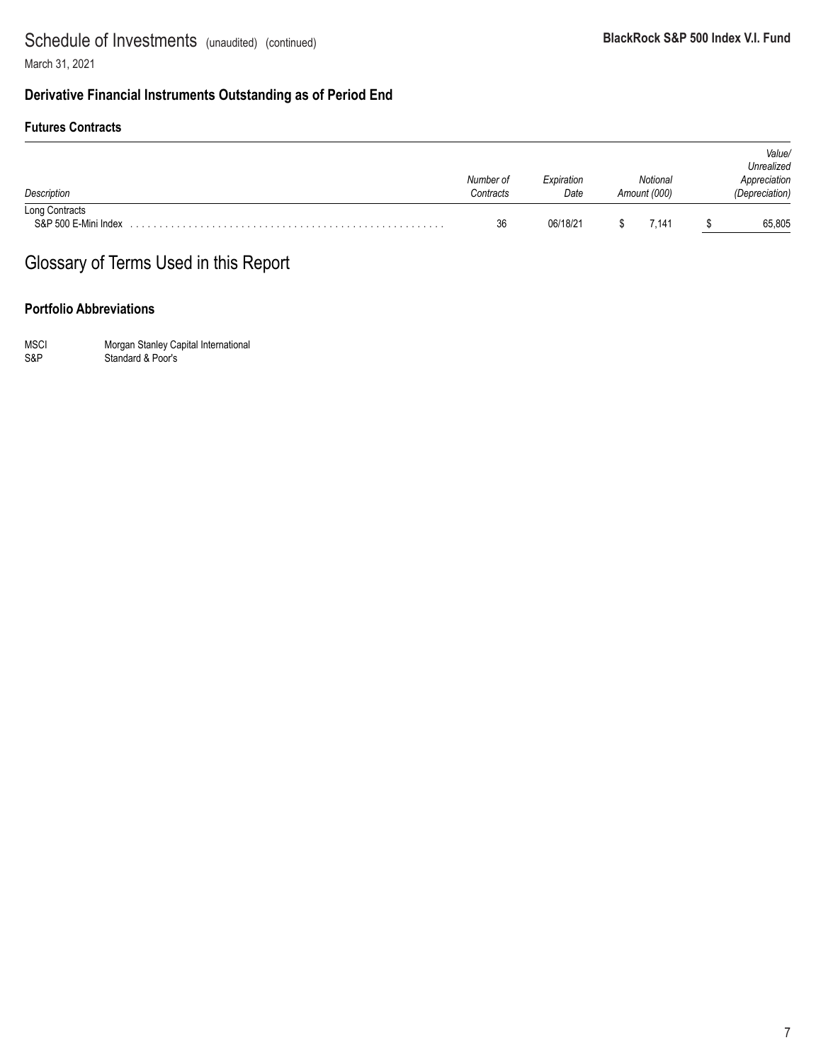March 31, 2021

### **Derivative Financial Instruments Outstanding as of Period End**

### **Futures Contracts**

| Description                            | Number of<br>Contracts | Expiration<br>Date | Notional<br>Amount (000) | Value/<br>Unrealized<br>Appreciation<br>(Depreciation) |
|----------------------------------------|------------------------|--------------------|--------------------------|--------------------------------------------------------|
| Long Contracts<br>S&P 500 E-Mini Index | 36                     | 06/18/21           | 7.141                    | 65,805                                                 |

### Glossary of Terms Used in this Report

### **Portfolio Abbreviations**

MSCI Morgan Stanley Capital International S&P Standard & Poor's